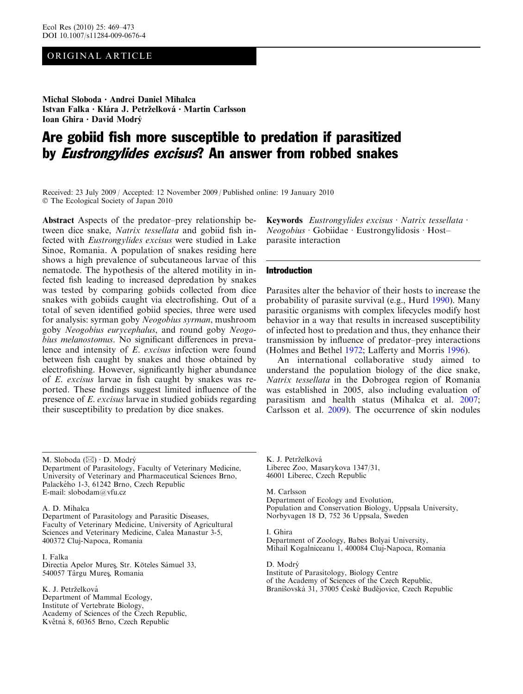# ORIGINAL ARTICLE

Michal Sloboda • Andrei Daniel Mihalca Istvan Falka · Klára J. Petrželková · Martin Carlsson Ioan Ghira • David Modry´

# Are gobiid fish more susceptible to predation if parasitized by Eustrongylides excisus? An answer from robbed snakes

Received: 23 July 2009 / Accepted: 12 November 2009 / Published online: 19 January 2010 The Ecological Society of Japan 2010

Abstract Aspects of the predator–prey relationship between dice snake, Natrix tessellata and gobiid fish infected with Eustrongylides excisus were studied in Lake Sinoe, Romania. A population of snakes residing here shows a high prevalence of subcutaneous larvae of this nematode. The hypothesis of the altered motility in infected fish leading to increased depredation by snakes was tested by comparing gobiids collected from dice snakes with gobiids caught via electrofishing. Out of a total of seven identified gobiid species, three were used for analysis: syrman goby Neogobius syrman, mushroom goby Neogobius eurycephalus, and round goby Neogobius melanostomus. No significant differences in prevalence and intensity of E. excisus infection were found between fish caught by snakes and those obtained by electrofishing. However, significantly higher abundance of E. excisus larvae in fish caught by snakes was reported. These findings suggest limited influence of the presence of E. excisus larvae in studied gobiids regarding their susceptibility to predation by dice snakes.

Keywords Eustrongylides excisus · Natrix tessellata ·  $Neogobius \cdot Gobiidae \cdot Eustrongylidosis \cdot Host$ parasite interaction

#### Introduction

Parasites alter the behavior of their hosts to increase the probability of parasite survival (e.g., Hurd [1990](#page-4-0)). Many parasitic organisms with complex lifecycles modify host behavior in a way that results in increased susceptibility of infected host to predation and thus, they enhance their transmission by influence of predator–prey interactions (Holmes and Bethel [1972](#page-4-0); Lafferty and Morris [1996\)](#page-4-0).

An international collaborative study aimed to understand the population biology of the dice snake, Natrix tessellata in the Dobrogea region of Romania was established in 2005, also including evaluation of parasitism and health status (Mihalca et al. [2007](#page-4-0); Carlsson et al. [2009\)](#page-4-0). The occurrence of skin nodules

M. Sloboda  $(\boxtimes) \cdot$  D. Modrý

#### A. D. Mihalca

Department of Parasitology and Parasitic Diseases, Faculty of Veterinary Medicine, University of Agricultural Sciences and Veterinary Medicine, Calea Manastur 3-5, 400372 Cluj-Napoca, Romania

I. Falka Directia Apelor Mureş, Str. Köteles Sámuel 33, 540057 Târgu Mureș, Romania

K. J. Petrželková

Department of Mammal Ecology, Institute of Vertebrate Biology, Academy of Sciences of the Czech Republic, Květná 8, 60365 Brno, Czech Republic

K. J. Petrželková Liberec Zoo, Masarykova 1347/31, 46001 Liberec, Czech Republic

M. Carlsson Department of Ecology and Evolution, Population and Conservation Biology, Uppsala University, Norbyvagen 18 D, 752 36 Uppsala, Sweden

I. Ghira Department of Zoology, Babes Bolyai University, Mihail Kogalniceanu 1, 400084 Cluj-Napoca, Romania

D. Modrý Institute of Parasitology, Biology Centre of the Academy of Sciences of the Czech Republic, Branišovská 31, 37005 České Budějovice, Czech Republic

Department of Parasitology, Faculty of Veterinary Medicine, University of Veterinary and Pharmaceutical Sciences Brno, Palackého 1-3, 61242 Brno, Czech Republic E-mail: slobodam@vfu.cz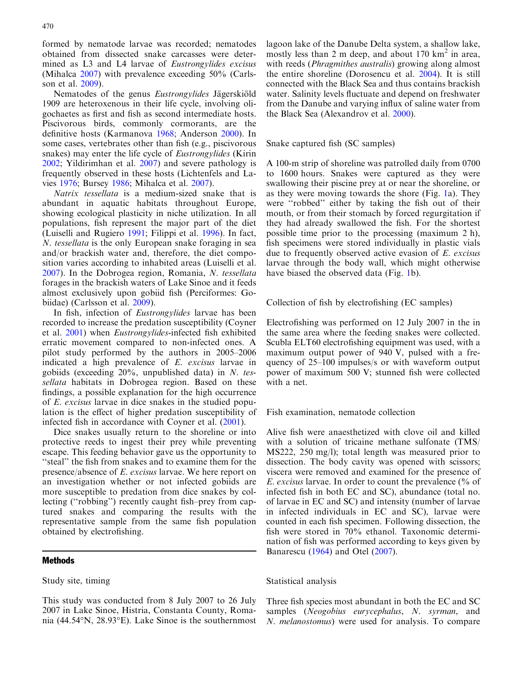formed by nematode larvae was recorded; nematodes obtained from dissected snake carcasses were determined as L3 and L4 larvae of Eustrongylides excisus (Mihalca [2007\)](#page-4-0) with prevalence exceeding 50% (Carlsson et al. [2009](#page-4-0)).

Nematodes of the genus Eustrongylides Jägerskiöld 1909 are heteroxenous in their life cycle, involving oligochaetes as first and fish as second intermediate hosts. Piscivorous birds, commonly cormorants, are the definitive hosts (Karmanova [1968](#page-4-0); Anderson [2000](#page-4-0)). In some cases, vertebrates other than fish (e.g., piscivorous snakes) may enter the life cycle of Eustrongylides (Kirin [2002](#page-4-0); Yildirimhan et al. [2007](#page-4-0)) and severe pathology is frequently observed in these hosts (Lichtenfels and Lavies [1976](#page-4-0); Bursey [1986;](#page-4-0) Mihalca et al. [2007](#page-4-0)).

Natrix tessellata is a medium-sized snake that is abundant in aquatic habitats throughout Europe, showing ecological plasticity in niche utilization. In all populations, fish represent the major part of the diet (Luiselli and Rugiero [1991;](#page-4-0) Filippi et al. [1996](#page-4-0)). In fact, N. tessellata is the only European snake foraging in sea and/or brackish water and, therefore, the diet composition varies according to inhabited areas (Luiselli et al. [2007](#page-4-0)). In the Dobrogea region, Romania, N. tessellata forages in the brackish waters of Lake Sinoe and it feeds almost exclusively upon gobiid fish (Perciformes: Gobiidae) (Carlsson et al. [2009](#page-4-0)).

In fish, infection of Eustrongylides larvae has been recorded to increase the predation susceptibility (Coyner et al. [2001](#page-4-0)) when Eustrongylides-infected fish exhibited erratic movement compared to non-infected ones. A pilot study performed by the authors in 2005–2006 indicated a high prevalence of E. excisus larvae in gobiids (exceeding  $20\%$ , unpublished data) in N. tessellata habitats in Dobrogea region. Based on these findings, a possible explanation for the high occurrence of E. excisus larvae in dice snakes in the studied population is the effect of higher predation susceptibility of infected fish in accordance with Coyner et al. [\(2001](#page-4-0)).

Dice snakes usually return to the shoreline or into protective reeds to ingest their prey while preventing escape. This feeding behavior gave us the opportunity to ''steal'' the fish from snakes and to examine them for the presence/absence of E. excisus larvae. We here report on an investigation whether or not infected gobiids are more susceptible to predation from dice snakes by collecting (''robbing'') recently caught fish–prey from captured snakes and comparing the results with the representative sample from the same fish population obtained by electrofishing.

# **Methods**

# Study site, timing

This study was conducted from 8 July 2007 to 26 July 2007 in Lake Sinoe, Histria, Constanta County, Romania (44.54°N, 28.93°E). Lake Sinoe is the southernmost

lagoon lake of the Danube Delta system, a shallow lake, mostly less than 2 m deep, and about  $170 \text{ km}^2$  in area, with reeds *(Phragmithes australis)* growing along almost the entire shoreline (Dorosencu et al. [2004\)](#page-4-0). It is still connected with the Black Sea and thus contains brackish water. Salinity levels fluctuate and depend on freshwater from the Danube and varying influx of saline water from the Black Sea (Alexandrov et al. [2000\)](#page-4-0).

#### Snake captured fish (SC samples)

A 100-m strip of shoreline was patrolled daily from 0700 to 1600 hours. Snakes were captured as they were swallowing their piscine prey at or near the shoreline, or as they were moving towards the shore (Fig. [1](#page-2-0)a). They were ''robbed'' either by taking the fish out of their mouth, or from their stomach by forced regurgitation if they had already swallowed the fish. For the shortest possible time prior to the processing (maximum 2 h), fish specimens were stored individually in plastic vials due to frequently observed active evasion of E. excisus larvae through the body wall, which might otherwise have biased the observed data (Fig. [1](#page-2-0)b).

#### Collection of fish by electrofishing (EC samples)

Electrofishing was performed on 12 July 2007 in the in the same area where the feeding snakes were collected. Scubla ELT60 electrofishing equipment was used, with a maximum output power of 940 V, pulsed with a frequency of 25–100 impulses/s or with waveform output power of maximum 500 V; stunned fish were collected with a net.

Fish examination, nematode collection

Alive fish were anaesthetized with clove oil and killed with a solution of tricaine methane sulfonate (TMS/ MS222, 250 mg/l); total length was measured prior to dissection. The body cavity was opened with scissors; viscera were removed and examined for the presence of E. excisus larvae. In order to count the prevalence (% of infected fish in both EC and SC), abundance (total no. of larvae in EC and SC) and intensity (number of larvae in infected individuals in EC and SC), larvae were counted in each fish specimen. Following dissection, the fish were stored in 70% ethanol. Taxonomic determination of fish was performed according to keys given by Banarescu ([1964](#page-4-0)) and Otel ([2007](#page-4-0)).

### Statistical analysis

Three fish species most abundant in both the EC and SC samples (Neogobius eurycephalus, N. syrman, and N. melanostomus) were used for analysis. To compare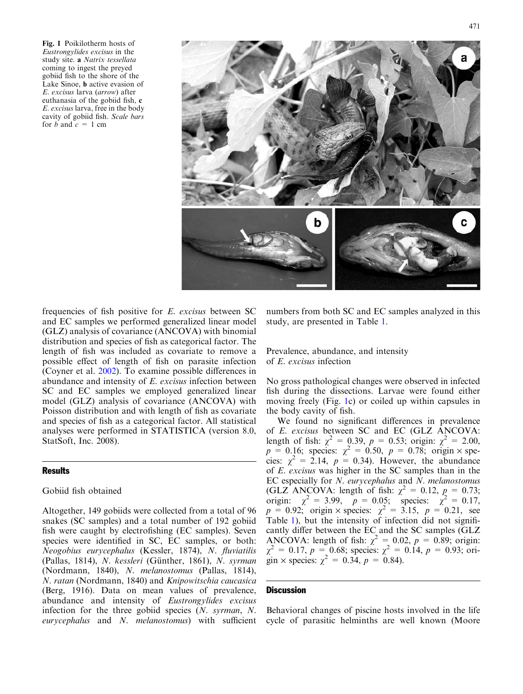<span id="page-2-0"></span>Fig. 1 Poikilotherm hosts of Eustrongylides excisus in the study site. a Natrix tessellata coming to ingest the preyed gobiid fish to the shore of the Lake Sinoe, b active evasion of E. excisus larva (arrow) after euthanasia of the gobiid fish, c E. excisus larva, free in the body cavity of gobiid fish. Scale bars for b and  $c = 1$  cm



frequencies of fish positive for E. excisus between SC and EC samples we performed generalized linear model (GLZ) analysis of covariance (ANCOVA) with binomial distribution and species of fish as categorical factor. The length of fish was included as covariate to remove a possible effect of length of fish on parasite infection (Coyner et al. [2002](#page-4-0)). To examine possible differences in abundance and intensity of E. excisus infection between SC and EC samples we employed generalized linear model (GLZ) analysis of covariance (ANCOVA) with Poisson distribution and with length of fish as covariate and species of fish as a categorical factor. All statistical analyses were performed in STATISTICA (version 8.0, StatSoft, Inc. 2008).

### **Results**

### Gobiid fish obtained

Altogether, 149 gobiids were collected from a total of 96 snakes (SC samples) and a total number of 192 gobiid fish were caught by electrofishing (EC samples). Seven species were identified in SC, EC samples, or both: Neogobius eurycephalus (Kessler, 1874), N. fluviatilis (Pallas, 1814), N. kessleri (Günther, 1861), N. syrman (Nordmann, 1840), N. melanostomus (Pallas, 1814), N. ratan (Nordmann, 1840) and Knipowitschia caucasica (Berg, 1916). Data on mean values of prevalence, abundance and intensity of Eustrongylides excisus infection for the three gobiid species (N. syrman, N. eurycephalus and N. melanostomus) with sufficient numbers from both SC and EC samples analyzed in this study, are presented in Table [1](#page-3-0).

Prevalence, abundance, and intensity of E. excisus infection

No gross pathological changes were observed in infected fish during the dissections. Larvae were found either moving freely (Fig. 1c) or coiled up within capsules in the body cavity of fish.

We found no significant differences in prevalence of E. excisus between SC and EC (GLZ ANCOVA: length of fish:  $\chi^2 = 0.39$ ,  $p = 0.53$ ; origin:  $\chi^2 = 2.00$ ,  $p = 0.16$ ; species:  $\chi^2 = 0.50$ ,  $p = 0.78$ ; origin  $\times$  species:  $\chi^2 = 2.14$ ,  $p = 0.34$ ). However, the abundance of E. excisus was higher in the SC samples than in the EC especially for N. eurycephalus and N. melanostomus (GLZ ANCOVA: length of fish:  $\chi^2 = 0.12$ ,  $p = 0.73$ ; origin:  $\chi^2 = 3.99$ ,  $p = 0.05$ ; species:  $\chi^2 = 0.17$ ,  $p = 0.92$ ; origin  $\times$  species:  $\chi^2 = 3.15$ ,  $p = 0.21$ , see Table [1](#page-3-0)), but the intensity of infection did not significantly differ between the EC and the SC samples (GLZ ANCOVA: length of fish:  $\chi^2 = 0.02$ ,  $p = 0.89$ ; origin:  $\chi^2 = 0.17$ ,  $p = 0.68$ ; species:  $\chi^2 = 0.14$ ,  $p = 0.93$ ; origin  $\times$  species:  $\chi^2 = 0.34, p = 0.84$ .

# **Discussion**

Behavioral changes of piscine hosts involved in the life cycle of parasitic helminths are well known (Moore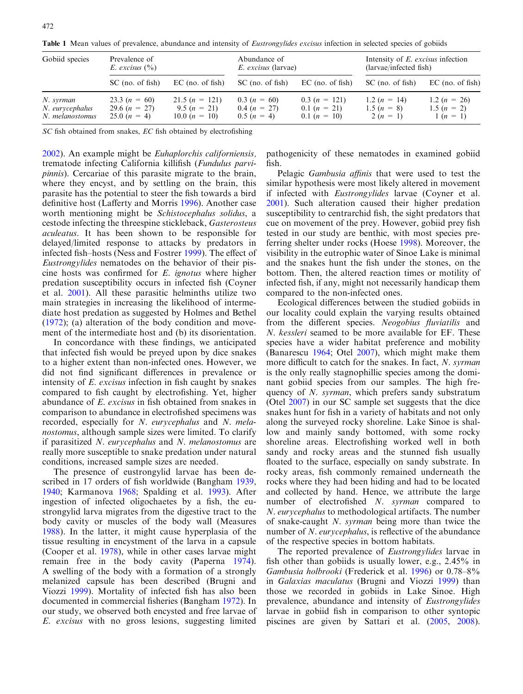<span id="page-3-0"></span>Table 1 Mean values of prevalence, abundance and intensity of Eustrongylides excisus infection in selected species of gobiids

| Gobiid species                                  | Prevalence of<br>E. excisus $(\% )$                |                                                      | Abundance of<br><i>E. excisus</i> (larvae)     |                                                  | Intensity of <i>E. excisus</i> infection<br>(larvae/infected fish) |                                              |
|-------------------------------------------------|----------------------------------------------------|------------------------------------------------------|------------------------------------------------|--------------------------------------------------|--------------------------------------------------------------------|----------------------------------------------|
|                                                 | $SC$ (no. of fish)                                 | $EC$ (no. of fish)                                   | SC (no. of fish)                               | $EC$ (no. of fish)                               | SC (no. of fish)                                                   | $EC$ (no. of fish)                           |
| N. syrman<br>N. eurycephalus<br>N. melanostomus | 23.3 $(n = 60)$<br>$29.6(n = 27)$<br>$25.0(n = 4)$ | $21.5(n = 121)$<br>$9.5 (n = 21)$<br>$10.0 (n = 10)$ | $0.3(n = 60)$<br>$0.4(n = 27)$<br>$0.5(n = 4)$ | $0.3(n = 121)$<br>$0.1(n = 21)$<br>$0.1(n = 10)$ | 1.2 $(n = 14)$<br>$1.5(n = 8)$<br>$2(n = 1)$                       | 1.2 $(n = 26)$<br>$1.5(n = 2)$<br>$1(n = 1)$ |

SC fish obtained from snakes, EC fish obtained by electrofishing

[2002](#page-4-0)). An example might be Euhaplorchis californiensis, trematode infecting California killifish (Fundulus parvipinnis). Cercariae of this parasite migrate to the brain, where they encyst, and by settling on the brain, this parasite has the potential to steer the fish towards a bird definitive host (Lafferty and Morris [1996\)](#page-4-0). Another case worth mentioning might be Schistocephalus solidus, a cestode infecting the threespine stickleback, Gasterosteus aculeatus. It has been shown to be responsible for delayed/limited response to attacks by predators in infected fish–hosts (Ness and Fostrer [1999\)](#page-4-0). The effect of Eustrongylides nematodes on the behavior of their piscine hosts was confirmed for E. ignotus where higher predation susceptibility occurs in infected fish (Coyner et al. [2001](#page-4-0)). All these parasitic helminths utilize two main strategies in increasing the likelihood of intermediate host predation as suggested by Holmes and Bethel ([1972\)](#page-4-0); (a) alteration of the body condition and movement of the intermediate host and (b) its disorientation.

In concordance with these findings, we anticipated that infected fish would be preyed upon by dice snakes to a higher extent than non-infected ones. However, we did not find significant differences in prevalence or intensity of E. excisus infection in fish caught by snakes compared to fish caught by electrofishing. Yet, higher abundance of E. excisus in fish obtained from snakes in comparison to abundance in electrofished specimens was recorded, especially for N. eurycephalus and N. melanostomus, although sample sizes were limited. To clarify if parasitized N. eurycephalus and N. melanostomus are really more susceptible to snake predation under natural conditions, increased sample sizes are needed.

The presence of eustrongylid larvae has been described in 17 orders of fish worldwide (Bangham [1939](#page-4-0), [1940](#page-4-0); Karmanova [1968;](#page-4-0) Spalding et al. [1993](#page-4-0)). After ingestion of infected oligochaetes by a fish, the eustrongylid larva migrates from the digestive tract to the body cavity or muscles of the body wall (Measures [1988](#page-4-0)). In the latter, it might cause hyperplasia of the tissue resulting in encystment of the larva in a capsule (Cooper et al. [1978\)](#page-4-0), while in other cases larvae might remain free in the body cavity (Paperna [1974\)](#page-4-0). A swelling of the body with a formation of a strongly melanized capsule has been described (Brugni and Viozzi [1999\)](#page-4-0). Mortality of infected fish has also been documented in commercial fisheries (Bangham [1972\)](#page-4-0). In our study, we observed both encysted and free larvae of E. excisus with no gross lesions, suggesting limited

pathogenicity of these nematodes in examined gobiid fish.

Pelagic Gambusia affinis that were used to test the similar hypothesis were most likely altered in movement if infected with Eustrongylides larvae (Coyner et al. [2001\)](#page-4-0). Such alteration caused their higher predation susceptibility to centrarchid fish, the sight predators that cue on movement of the prey. However, gobiid prey fish tested in our study are benthic, with most species preferring shelter under rocks (Hoese [1998](#page-4-0)). Moreover, the visibility in the eutrophic water of Sinoe Lake is minimal and the snakes hunt the fish under the stones, on the bottom. Then, the altered reaction times or motility of infected fish, if any, might not necessarily handicap them compared to the non-infected ones.

Ecological differences between the studied gobiids in our locality could explain the varying results obtained from the different species. Neogobius fluviatilis and N. kessleri seamed to be more available for EF. These species have a wider habitat preference and mobility (Banarescu [1964](#page-4-0); Otel [2007\)](#page-4-0), which might make them more difficult to catch for the snakes. In fact, N. syrman is the only really stagnophillic species among the dominant gobiid species from our samples. The high frequency of N. syrman, which prefers sandy substratum (Otel [2007](#page-4-0)) in our SC sample set suggests that the dice snakes hunt for fish in a variety of habitats and not only along the surveyed rocky shoreline. Lake Sinoe is shallow and mainly sandy bottomed, with some rocky shoreline areas. Electrofishing worked well in both sandy and rocky areas and the stunned fish usually floated to the surface, especially on sandy substrate. In rocky areas, fish commonly remained underneath the rocks where they had been hiding and had to be located and collected by hand. Hence, we attribute the large number of electrofished N. syrman compared to N. eurycephalus to methodological artifacts. The number of snake-caught N. syrman being more than twice the number of *N. eurycephalus*, is reflective of the abundance of the respective species in bottom habitats.

The reported prevalence of Eustrongylides larvae in fish other than gobiids is usually lower, e.g., 2.45% in Gambusia holbrooki (Frederick et al. [1996](#page-4-0)) or 0.78–8% in Galaxias maculatus (Brugni and Viozzi [1999\)](#page-4-0) than those we recorded in gobiids in Lake Sinoe. High prevalence, abundance and intensity of Eustrongylides larvae in gobiid fish in comparison to other syntopic piscines are given by Sattari et al. ([2005](#page-4-0), [2008\)](#page-4-0).